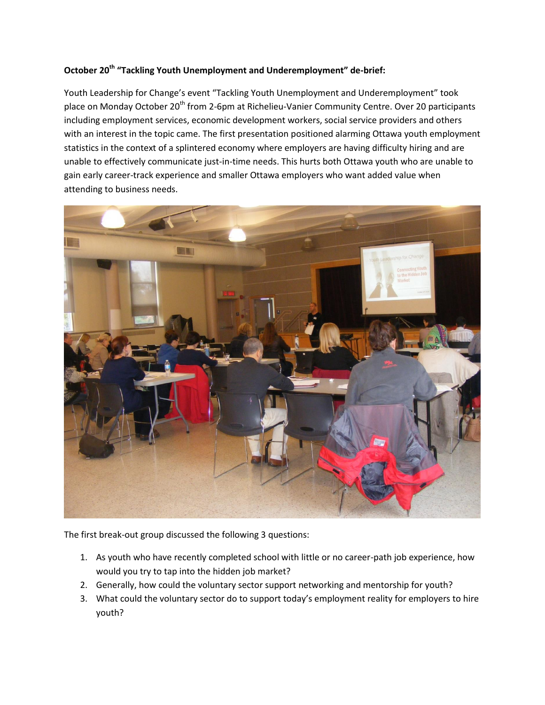## **October 20th "Tackling Youth Unemployment and Underemployment" de-brief:**

Youth Leadership for Change's event "Tackling Youth Unemployment and Underemployment" took place on Monday October 20<sup>th</sup> from 2-6pm at Richelieu-Vanier Community Centre. Over 20 participants including employment services, economic development workers, social service providers and others with an interest in the topic came. The first presentation positioned alarming Ottawa youth employment statistics in the context of a splintered economy where employers are having difficulty hiring and are unable to effectively communicate just-in-time needs. This hurts both Ottawa youth who are unable to gain early career-track experience and smaller Ottawa employers who want added value when attending to business needs.



The first break-out group discussed the following 3 questions:

- 1. As youth who have recently completed school with little or no career-path job experience, how would you try to tap into the hidden job market?
- 2. Generally, how could the voluntary sector support networking and mentorship for youth?
- 3. What could the voluntary sector do to support today's employment reality for employers to hire youth?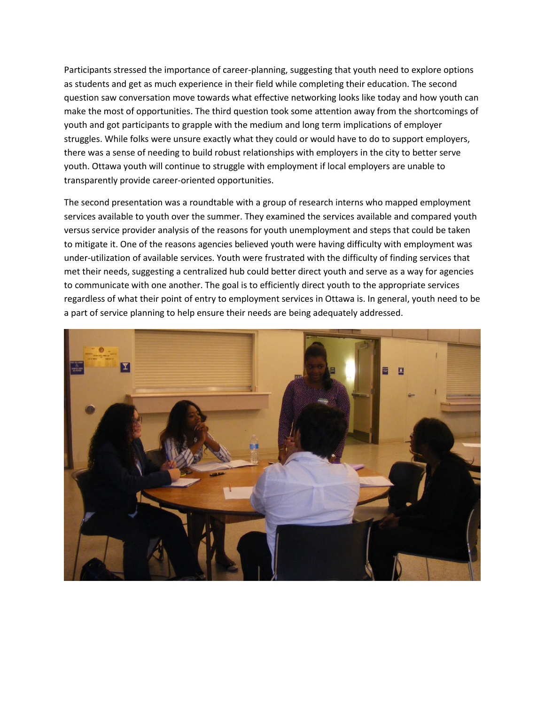Participants stressed the importance of career-planning, suggesting that youth need to explore options as students and get as much experience in their field while completing their education. The second question saw conversation move towards what effective networking looks like today and how youth can make the most of opportunities. The third question took some attention away from the shortcomings of youth and got participants to grapple with the medium and long term implications of employer struggles. While folks were unsure exactly what they could or would have to do to support employers, there was a sense of needing to build robust relationships with employers in the city to better serve youth. Ottawa youth will continue to struggle with employment if local employers are unable to transparently provide career-oriented opportunities.

The second presentation was a roundtable with a group of research interns who mapped employment services available to youth over the summer. They examined the services available and compared youth versus service provider analysis of the reasons for youth unemployment and steps that could be taken to mitigate it. One of the reasons agencies believed youth were having difficulty with employment was under-utilization of available services. Youth were frustrated with the difficulty of finding services that met their needs, suggesting a centralized hub could better direct youth and serve as a way for agencies to communicate with one another. The goal is to efficiently direct youth to the appropriate services regardless of what their point of entry to employment services in Ottawa is. In general, youth need to be a part of service planning to help ensure their needs are being adequately addressed.

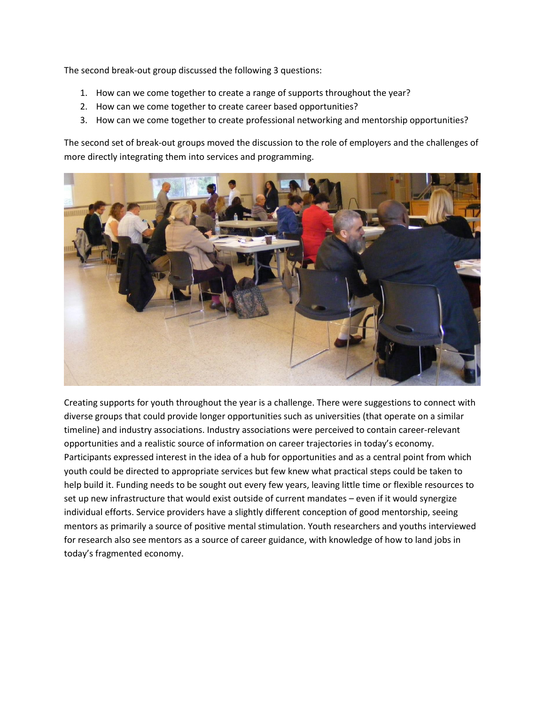The second break-out group discussed the following 3 questions:

- 1. How can we come together to create a range of supports throughout the year?
- 2. How can we come together to create career based opportunities?
- 3. How can we come together to create professional networking and mentorship opportunities?

The second set of break-out groups moved the discussion to the role of employers and the challenges of more directly integrating them into services and programming.



Creating supports for youth throughout the year is a challenge. There were suggestions to connect with diverse groups that could provide longer opportunities such as universities (that operate on a similar timeline) and industry associations. Industry associations were perceived to contain career-relevant opportunities and a realistic source of information on career trajectories in today's economy. Participants expressed interest in the idea of a hub for opportunities and as a central point from which youth could be directed to appropriate services but few knew what practical steps could be taken to help build it. Funding needs to be sought out every few years, leaving little time or flexible resources to set up new infrastructure that would exist outside of current mandates – even if it would synergize individual efforts. Service providers have a slightly different conception of good mentorship, seeing mentors as primarily a source of positive mental stimulation. Youth researchers and youths interviewed for research also see mentors as a source of career guidance, with knowledge of how to land jobs in today's fragmented economy.